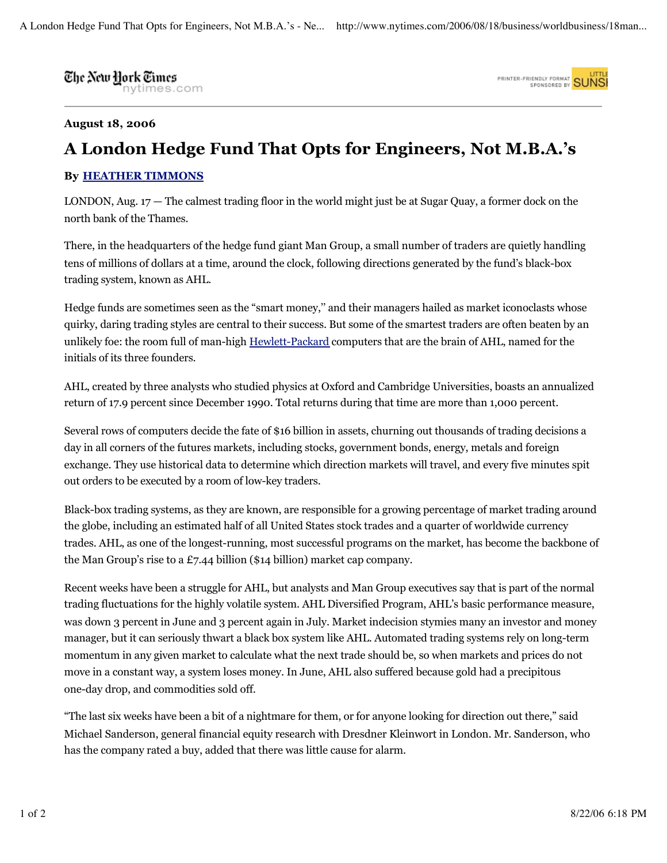The New Hork Times nytimes.com



## **August 18, 2006**

## **A London Hedge Fund That Opts for Engineers, Not M.B.A.'s By HEATHER TIMMONS**

LONDON, Aug. 17 — The calmest trading floor in the world might just be at Sugar Quay, a former dock on the north bank of the Thames.

There, in the headquarters of the hedge fund giant Man Group, a small number of traders are quietly handling tens of millions of dollars at a time, around the clock, following directions generated by the fund's black-box trading system, known as AHL.

Hedge funds are sometimes seen as the "smart money,'' and their managers hailed as market iconoclasts whose quirky, daring trading styles are central to their success. But some of the smartest traders are often beaten by an unlikely foe: the room full of man-high Hewlett-Packard computers that are the brain of AHL, named for the initials of its three founders.

AHL, created by three analysts who studied physics at Oxford and Cambridge Universities, boasts an annualized return of 17.9 percent since December 1990. Total returns during that time are more than 1,000 percent.

Several rows of computers decide the fate of \$16 billion in assets, churning out thousands of trading decisions a day in all corners of the futures markets, including stocks, government bonds, energy, metals and foreign exchange. They use historical data to determine which direction markets will travel, and every five minutes spit out orders to be executed by a room of low-key traders.

Black-box trading systems, as they are known, are responsible for a growing percentage of market trading around the globe, including an estimated half of all United States stock trades and a quarter of worldwide currency trades. AHL, as one of the longest-running, most successful programs on the market, has become the backbone of the Man Group's rise to a  $\pounds$ 7.44 billion (\$14 billion) market cap company.

Recent weeks have been a struggle for AHL, but analysts and Man Group executives say that is part of the normal trading fluctuations for the highly volatile system. AHL Diversified Program, AHL's basic performance measure, was down 3 percent in June and 3 percent again in July. Market indecision stymies many an investor and money manager, but it can seriously thwart a black box system like AHL. Automated trading systems rely on long-term momentum in any given market to calculate what the next trade should be, so when markets and prices do not move in a constant way, a system loses money. In June, AHL also suffered because gold had a precipitous one-day drop, and commodities sold off.

"The last six weeks have been a bit of a nightmare for them, or for anyone looking for direction out there," said Michael Sanderson, general financial equity research with Dresdner Kleinwort in London. Mr. Sanderson, who has the company rated a buy, added that there was little cause for alarm.